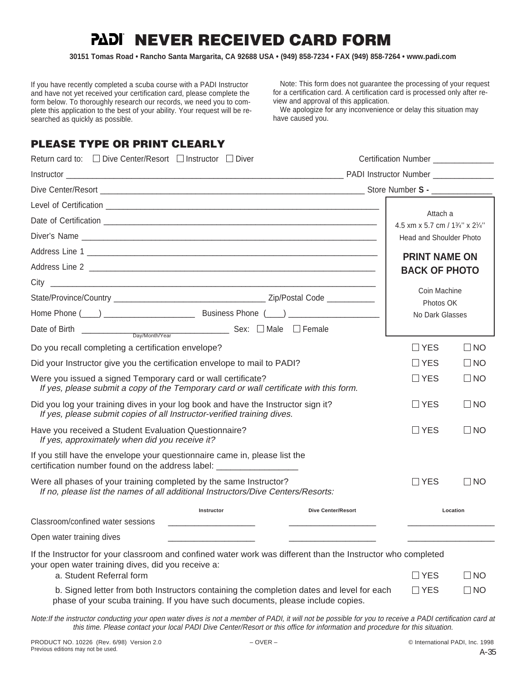# **PADI NEVER RECEIVED CARD FORM**

**30151 Tomas Road • Rancho Santa Margarita, CA 92688 USA • (949) 858-7234 • FAX (949) 858-7264 • www.padi.com**

If you have recently completed a scuba course with a PADI Instructor and have not yet received your certification card, please complete the form below. To thoroughly research our records, we need you to complete this application to the best of your ability. Your request will be researched as quickly as possible.

Note: This form does not guarantee the processing of your request for a certification card. A certification card is processed only after review and approval of this application.

We apologize for any inconvenience or delay this situation may have caused you.

### **PLEASE TYPE OR PRINT CLEARLY**

| Return card to: $\Box$ Dive Center/Resort $\Box$ Instructor $\Box$ Diver                                                                                                      |                           | Certification Number ______________         |           |
|-------------------------------------------------------------------------------------------------------------------------------------------------------------------------------|---------------------------|---------------------------------------------|-----------|
|                                                                                                                                                                               |                           |                                             |           |
|                                                                                                                                                                               |                           |                                             |           |
|                                                                                                                                                                               |                           | Attach a<br>4.5 xm x 5.7 cm / 13/4" x 21/4" |           |
|                                                                                                                                                                               |                           | <b>Head and Shoulder Photo</b>              |           |
|                                                                                                                                                                               |                           | <b>PRINT NAME ON</b>                        |           |
|                                                                                                                                                                               |                           | <b>BACK OF PHOTO</b>                        |           |
|                                                                                                                                                                               |                           | Coin Machine                                |           |
|                                                                                                                                                                               |                           | Photos OK                                   |           |
|                                                                                                                                                                               |                           | No Dark Glasses                             |           |
| Date of Birth $\frac{1}{\text{DayMonth} \times \text{ear}}$ Sex: $\Box$ Male $\Box$ Female                                                                                    |                           |                                             |           |
| Do you recall completing a certification envelope?                                                                                                                            |                           | $\Box$ YES                                  | $\Box$ NO |
| Did your Instructor give you the certification envelope to mail to PADI?                                                                                                      |                           | $\Box$ YES                                  | $\Box$ NO |
| Were you issued a signed Temporary card or wall certificate?<br>If yes, please submit a copy of the Temporary card or wall certificate with this form.                        |                           | $\Box$ YES                                  | $\Box$ NO |
| Did you log your training dives in your log book and have the Instructor sign it?<br>If yes, please submit copies of all Instructor-verified training dives.                  |                           | $\Box$ YES                                  | $\Box$ NO |
| Have you received a Student Evaluation Questionnaire?<br>If yes, approximately when did you receive it?                                                                       |                           | $\Box$ YES                                  | $\Box$ NO |
| If you still have the envelope your questionnaire came in, please list the<br>certification number found on the address label: _______________________________                |                           |                                             |           |
| Were all phases of your training completed by the same Instructor?<br>If no, please list the names of all additional Instructors/Dive Centers/Resorts:                        |                           | $\Box$ YES                                  | $\Box$ NO |
| Instructor                                                                                                                                                                    | <b>Dive Center/Resort</b> |                                             | Location  |
| Classroom/confined water sessions                                                                                                                                             |                           |                                             |           |
| Open water training dives                                                                                                                                                     |                           |                                             |           |
| If the Instructor for your classroom and confined water work was different than the Instructor who completed<br>your open water training dives, did you receive a:            |                           |                                             |           |
| a. Student Referral form                                                                                                                                                      |                           | $\Box$ YES                                  | $\Box$ NO |
| b. Signed letter from both Instructors containing the completion dates and level for each<br>phase of your scuba training. If you have such documents, please include copies. |                           | $\Box$ YES                                  | $\Box$ NO |

Note:If the instructor conducting your open water dives is not a member of PADI, it will not be possible for you to receive a PADI certification card at this time. Please contact your local PADI Dive Center/Resort or this office for information and procedure for this situation.